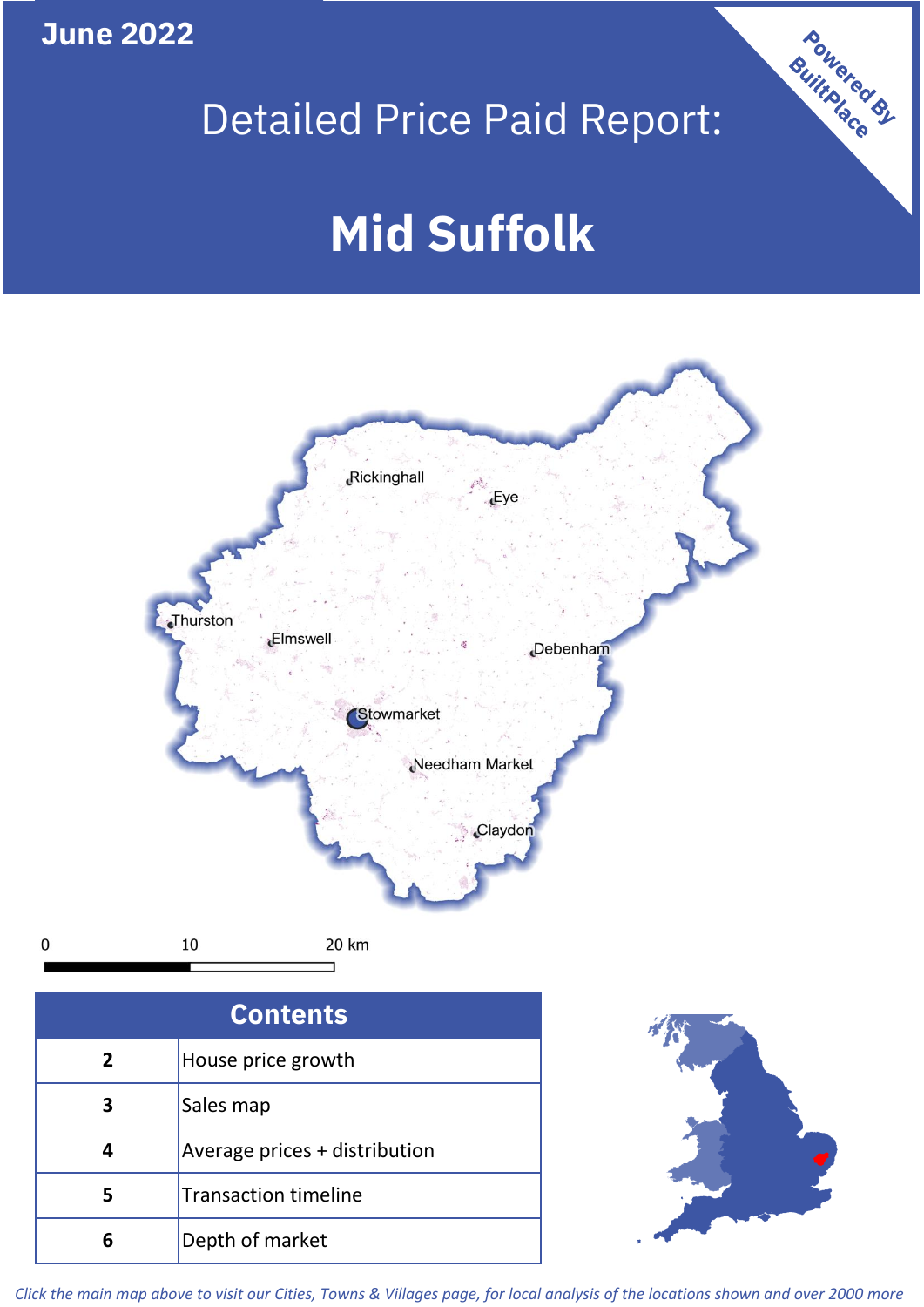## **June 2022**

 $\mathbf 0$ 

## Detailed Price Paid Report:

# **Mid Suffolk**



| <b>Contents</b> |                               |  |  |
|-----------------|-------------------------------|--|--|
| $\overline{2}$  | House price growth            |  |  |
| 3               | Sales map                     |  |  |
|                 | Average prices + distribution |  |  |
|                 | <b>Transaction timeline</b>   |  |  |
|                 | Depth of market               |  |  |



Powered By

*Click the main map above to visit our Cities, Towns & Villages page, for local analysis of the locations shown and over 2000 more*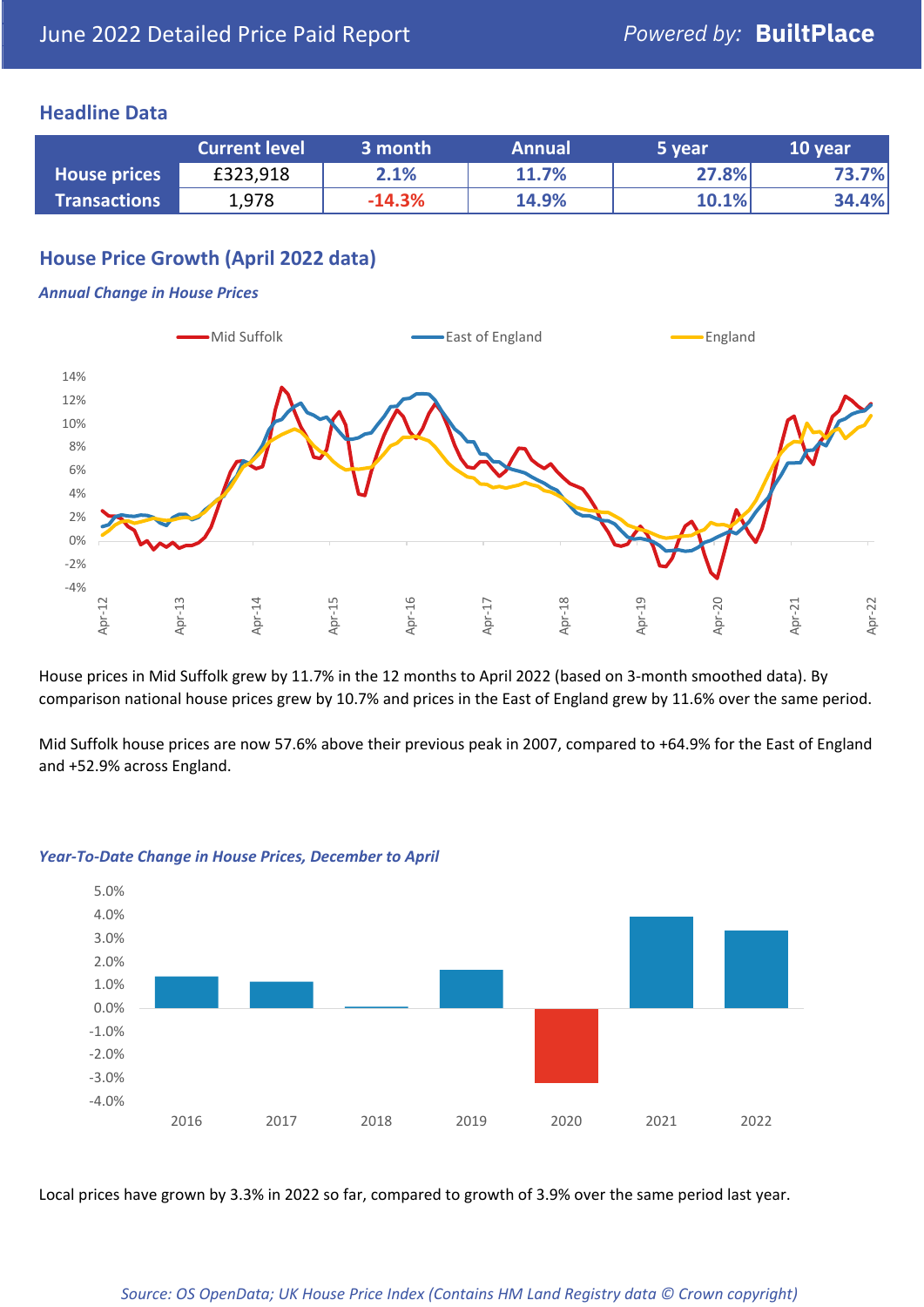## **Headline Data**

|                     | <b>Current level</b> | 3 month  | <b>Annual</b> | 5 year | 10 year |
|---------------------|----------------------|----------|---------------|--------|---------|
| <b>House prices</b> | £323,918             | 2.1%     | 11.7%         | 27.8%  | 73.7%   |
| <b>Transactions</b> | 1,978                | $-14.3%$ | 14.9%         | 10.1%  | 34.4%   |

## **House Price Growth (April 2022 data)**

#### *Annual Change in House Prices*



House prices in Mid Suffolk grew by 11.7% in the 12 months to April 2022 (based on 3-month smoothed data). By comparison national house prices grew by 10.7% and prices in the East of England grew by 11.6% over the same period.

Mid Suffolk house prices are now 57.6% above their previous peak in 2007, compared to +64.9% for the East of England and +52.9% across England.



#### *Year-To-Date Change in House Prices, December to April*

Local prices have grown by 3.3% in 2022 so far, compared to growth of 3.9% over the same period last year.

#### *Source: OS OpenData; UK House Price Index (Contains HM Land Registry data © Crown copyright)*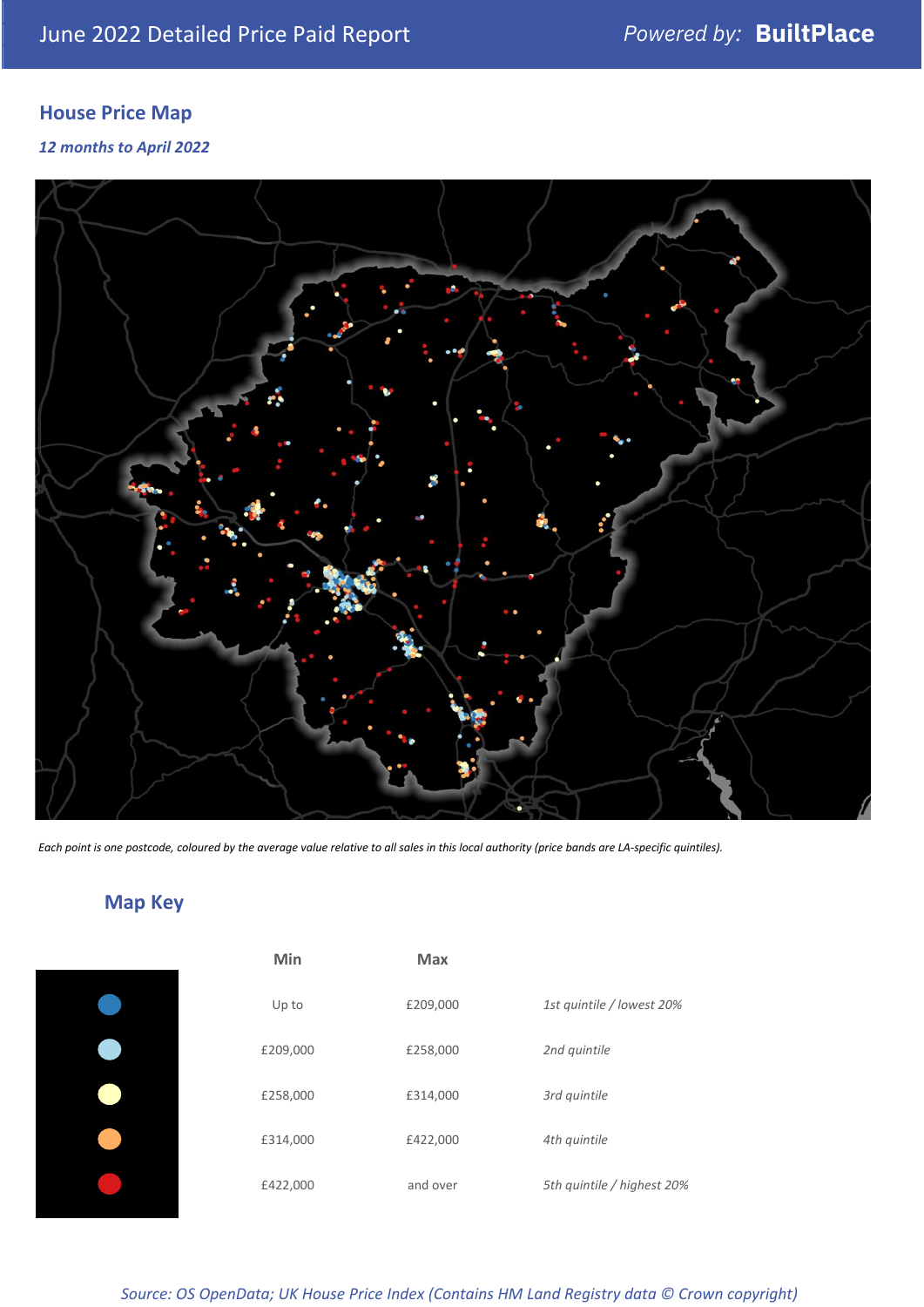## **House Price Map**

*12 months to April 2022*



*Each point is one postcode, coloured by the average value relative to all sales in this local authority (price bands are LA-specific quintiles).*

## **Map Key**

| Min      | <b>Max</b> |                            |
|----------|------------|----------------------------|
| Up to    | £209,000   | 1st quintile / lowest 20%  |
| £209,000 | £258,000   | 2nd quintile               |
| £258,000 | £314,000   | 3rd quintile               |
| £314,000 | £422,000   | 4th quintile               |
| £422,000 | and over   | 5th quintile / highest 20% |

*Source: OS OpenData; UK House Price Index (Contains HM Land Registry data © Crown copyright)*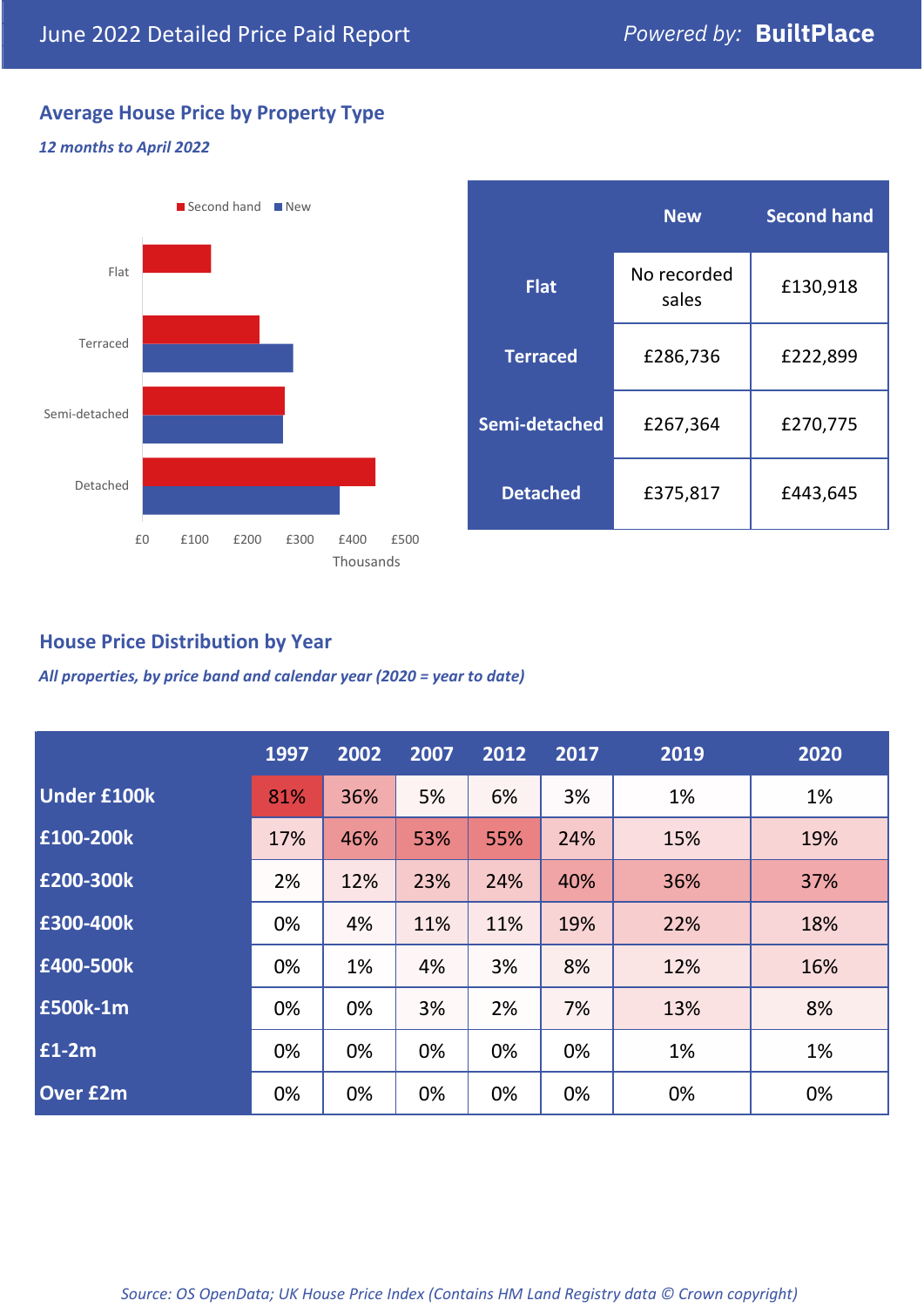## **Average House Price by Property Type**

### *12 months to April 2022*



|                 | <b>New</b>           | <b>Second hand</b> |  |  |
|-----------------|----------------------|--------------------|--|--|
| <b>Flat</b>     | No recorded<br>sales | £130,918           |  |  |
| <b>Terraced</b> | £286,736             | £222,899           |  |  |
| Semi-detached   | £267,364             | £270,775           |  |  |
| <b>Detached</b> | £375,817             | £443,645           |  |  |

## **House Price Distribution by Year**

*All properties, by price band and calendar year (2020 = year to date)*

|                    | 1997 | 2002 | 2007 | 2012 | 2017 | 2019 | 2020 |
|--------------------|------|------|------|------|------|------|------|
| <b>Under £100k</b> | 81%  | 36%  | 5%   | 6%   | 3%   | 1%   | 1%   |
| £100-200k          | 17%  | 46%  | 53%  | 55%  | 24%  | 15%  | 19%  |
| E200-300k          | 2%   | 12%  | 23%  | 24%  | 40%  | 36%  | 37%  |
| £300-400k          | 0%   | 4%   | 11%  | 11%  | 19%  | 22%  | 18%  |
| £400-500k          | 0%   | 1%   | 4%   | 3%   | 8%   | 12%  | 16%  |
| <b>£500k-1m</b>    | 0%   | 0%   | 3%   | 2%   | 7%   | 13%  | 8%   |
| £1-2m              | 0%   | 0%   | 0%   | 0%   | 0%   | 1%   | 1%   |
| <b>Over £2m</b>    | 0%   | 0%   | 0%   | 0%   | 0%   | 0%   | 0%   |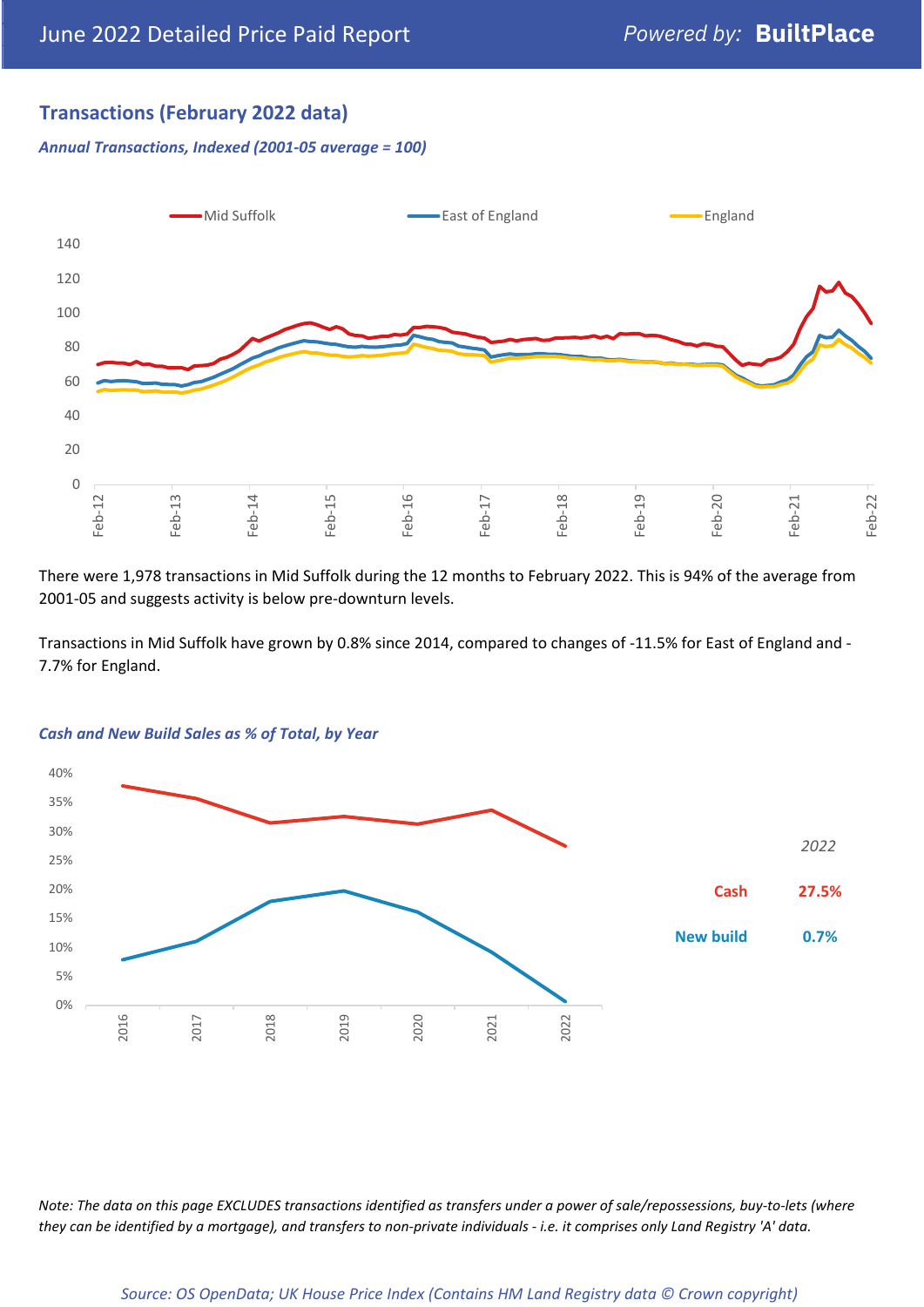## **Transactions (February 2022 data)**

*Annual Transactions, Indexed (2001-05 average = 100)*



There were 1,978 transactions in Mid Suffolk during the 12 months to February 2022. This is 94% of the average from 2001-05 and suggests activity is below pre-downturn levels.

Transactions in Mid Suffolk have grown by 0.8% since 2014, compared to changes of -11.5% for East of England and - 7.7% for England.



#### *Cash and New Build Sales as % of Total, by Year*

*Note: The data on this page EXCLUDES transactions identified as transfers under a power of sale/repossessions, buy-to-lets (where they can be identified by a mortgage), and transfers to non-private individuals - i.e. it comprises only Land Registry 'A' data.*